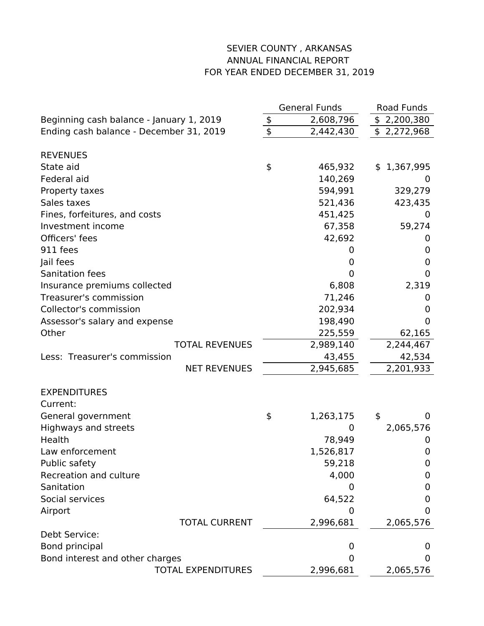## SEVIER COUNTY , ARKANSAS ANNUAL FINANCIAL REPORT FOR YEAR ENDED DECEMBER 31, 2019

|                                          |               | <b>General Funds</b> | Road Funds     |
|------------------------------------------|---------------|----------------------|----------------|
| Beginning cash balance - January 1, 2019 | \$            | 2,608,796            | \$2,200,380    |
| Ending cash balance - December 31, 2019  | \$            | 2,442,430            | \$2,272,968    |
| <b>REVENUES</b>                          |               |                      |                |
| State aid                                | $\frac{4}{5}$ | 465,932              | \$1,367,995    |
| Federal aid                              |               | 140,269              | $\overline{0}$ |
| Property taxes                           |               | 594,991              | 329,279        |
| Sales taxes                              |               | 521,436              | 423,435        |
| Fines, forfeitures, and costs            |               | 451,425              | 0              |
| Investment income                        |               | 67,358               | 59,274         |
| Officers' fees                           |               | 42,692               | 0              |
| 911 fees                                 |               | 0                    | 0              |
| Jail fees                                |               | 0                    | 0              |
| Sanitation fees                          |               |                      | 0              |
|                                          |               | 0                    |                |
| Insurance premiums collected             |               | 6,808                | 2,319          |
| Treasurer's commission                   |               | 71,246               | 0              |
| Collector's commission                   |               | 202,934              | 0              |
| Assessor's salary and expense            |               | 198,490              | 0              |
| Other                                    |               | 225,559              | 62,165         |
| <b>TOTAL REVENUES</b>                    |               | 2,989,140            | 2,244,467      |
| Less: Treasurer's commission             |               | 43,455               | 42,534         |
| <b>NET REVENUES</b>                      |               | 2,945,685            | 2,201,933      |
| <b>EXPENDITURES</b>                      |               |                      |                |
| Current:                                 |               |                      |                |
| General government                       | \$            | 1,263,175            | \$<br>0        |
| Highways and streets                     |               | 0                    | 2,065,576      |
| Health                                   |               | 78,949               | 0              |
| Law enforcement                          |               | 1,526,817            | 0              |
| Public safety                            |               | 59,218               | 0              |
| Recreation and culture                   |               | 4,000                | 0              |
| Sanitation                               |               | 0                    | 0              |
| Social services                          |               | 64,522               | 0              |
| Airport                                  |               | 0                    | 0              |
| <b>TOTAL CURRENT</b>                     |               | 2,996,681            | 2,065,576      |
| Debt Service:                            |               |                      |                |
| Bond principal                           |               | O                    | 0              |
| Bond interest and other charges          |               | O                    | 0              |
| <b>TOTAL EXPENDITURES</b>                |               | 2,996,681            | 2,065,576      |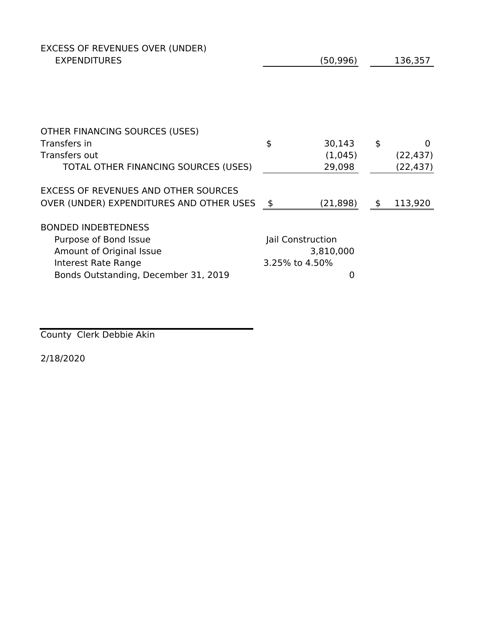| EXCESS OF REVENUES OVER (UNDER)<br><b>EXPENDITURES</b> |                   | (50, 996) |         | 136,357   |
|--------------------------------------------------------|-------------------|-----------|---------|-----------|
|                                                        |                   |           |         |           |
|                                                        |                   |           |         |           |
| OTHER FINANCING SOURCES (USES)<br>Transfers in         | \$                | 30,143    | \$      | 0         |
| Transfers out                                          |                   | (1,045)   |         | (22, 437) |
| TOTAL OTHER FINANCING SOURCES (USES)                   |                   | 29,098    |         | (22, 437) |
| <b>EXCESS OF REVENUES AND OTHER SOURCES</b>            |                   |           |         |           |
| OVER (UNDER) EXPENDITURES AND OTHER USES               | \$                | (21, 898) | $\oint$ | 113,920   |
| <b>BONDED INDEBTEDNESS</b>                             |                   |           |         |           |
| Purpose of Bond Issue                                  | Jail Construction |           |         |           |
| Amount of Original Issue                               |                   | 3,810,000 |         |           |
| <b>Interest Rate Range</b>                             | 3.25% to 4.50%    |           |         |           |
| Bonds Outstanding, December 31, 2019                   |                   | 0         |         |           |

County Clerk Debbie Akin

2/18/2020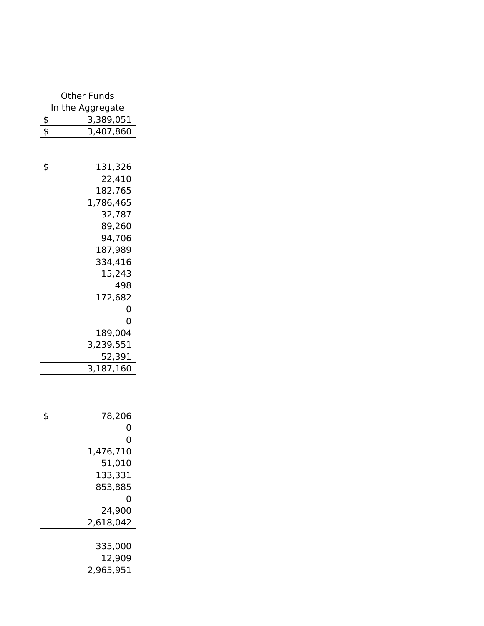| <b>Other Funds</b>               |
|----------------------------------|
| In the Aggregate                 |
| \$<br>3,389,051                  |
| \$<br>3,407,860                  |
|                                  |
|                                  |
| \$<br>131,326<br>22,410          |
| 182,765                          |
| 1,786,465                        |
| 32,787                           |
| 89,260                           |
| 94,706                           |
| 187,989                          |
| 334,416                          |
| 15,243                           |
| 498                              |
| 172,682                          |
| 0                                |
| 0                                |
| 189,004                          |
| 3,239,551                        |
| 52,391<br>$3,187,\overline{160}$ |
|                                  |
|                                  |
|                                  |
| \$<br>78,206                     |
| 0                                |
| 0                                |
| 1,476,710                        |
| 51,010                           |
| 133,331                          |
| 853,885                          |
| 0                                |
| 24,900                           |
| 2,618,042                        |
| 335,000                          |
| 12,909                           |
| 2,965,951                        |
|                                  |